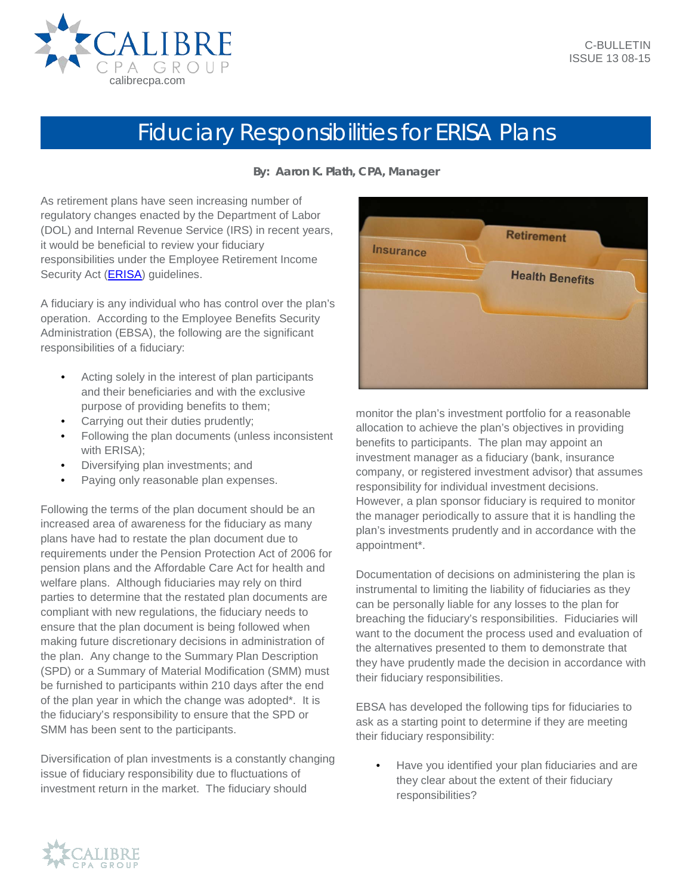

## Fiduciary Responsibilities for ERISA Plans

**By: Aaron K. Plath, CPA, Manager**

As retirement plans have seen increasing number of regulatory changes enacted by the Department of Labor (DOL) and Internal Revenue Service (IRS) in recent years, it would be beneficial to review your fiduciary responsibilities under the Employee Retirement Income Security Act (**ERISA**) quidelines.

A fiduciary is any individual who has control over the plan's operation. According to the Employee Benefits Security Administration (EBSA), the following are the significant responsibilities of a fiduciary:

- Acting solely in the interest of plan participants and their beneficiaries and with the exclusive purpose of providing benefits to them;
- Carrying out their duties prudently;
- Following the plan documents (unless inconsistent with ERISA);
- Diversifying plan investments; and
- Paying only reasonable plan expenses.

Following the terms of the plan document should be an increased area of awareness for the fiduciary as many plans have had to restate the plan document due to requirements under the Pension Protection Act of 2006 for pension plans and the Affordable Care Act for health and welfare plans. Although fiduciaries may rely on third parties to determine that the restated plan documents are compliant with new regulations, the fiduciary needs to ensure that the plan document is being followed when making future discretionary decisions in administration of the plan. Any change to the Summary Plan Description (SPD) or a Summary of Material Modification (SMM) must be furnished to participants within 210 days after the end of the plan year in which the change was adopted\*. It is the fiduciary's responsibility to ensure that the SPD or SMM has been sent to the participants.

Diversification of plan investments is a constantly changing issue of fiduciary responsibility due to fluctuations of investment return in the market. The fiduciary should



monitor the plan's investment portfolio for a reasonable allocation to achieve the plan's objectives in providing benefits to participants. The plan may appoint an investment manager as a fiduciary (bank, insurance company, or registered investment advisor) that assumes responsibility for individual investment decisions. However, a plan sponsor fiduciary is required to monitor the manager periodically to assure that it is handling the plan's investments prudently and in accordance with the appointment\*.

Documentation of decisions on administering the plan is instrumental to limiting the liability of fiduciaries as they can be personally liable for any losses to the plan for breaching the fiduciary's responsibilities. Fiduciaries will want to the document the process used and evaluation of the alternatives presented to them to demonstrate that they have prudently made the decision in accordance with their fiduciary responsibilities.

EBSA has developed the following tips for fiduciaries to ask as a starting point to determine if they are meeting their fiduciary responsibility:

• Have you identified your plan fiduciaries and are they clear about the extent of their fiduciary responsibilities?